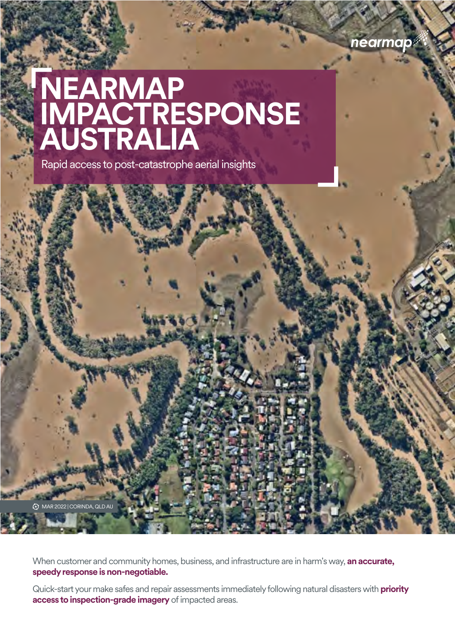

# **NEARMAP IMPACTRESPONSE AUSTRALIA**

Rapid access to post-catastrophe aerial insights

MAR 2022 | CORINDA, QLD AU

When customer and community homes, business, and infrastructure are in harm's way, **an accurate, speedy response is non-negotiable.** 

Quick-start your make safes and repair assessments immediately following natural disasters with **priority access to inspection-grade imagery** of impacted areas.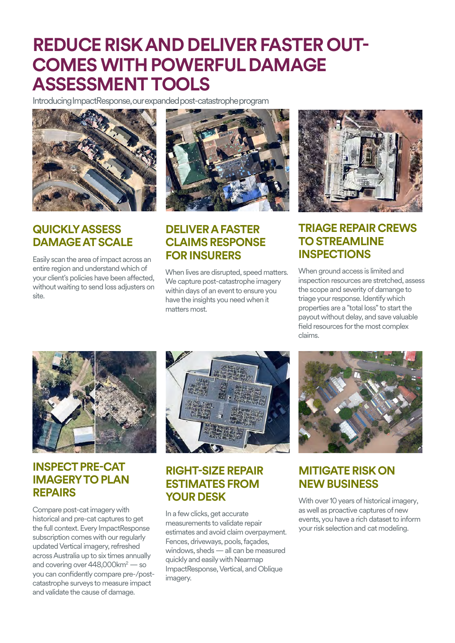## **REDUCE RISKAND DELIVER FASTER OUT-COMES WITH POWERFUL DAMAGE ASSESSMENTTOOLS**

Introducing ImpactResponse, our expanded post-catastrophe program



## **QUICKLY ASSESS DAMAGE AT SCALE**

Easily scan the area of impact across an entire region and understand which of your client's policies have been affected, without waiting to send loss adjusters on site.



### **DELIVER A FASTER CLAIMS RESPONSE FOR INSURERS**

When lives are disrupted, speed matters. We capture post-catastrophe imagery within days of an event to ensure you have the insights you need when it matters most.



### **TRIAGE REPAIR CREWS TO STREAMLINE INSPECTIONS**

When ground access is limited and inspection resources are stretched, assess the scope and severity of damange to triage your response. Identify which properties are a "total loss" to start the payout without delay, and save valuable field resources for the most complex claims.



## **INSPECT PRE-CAT IMAGERY TO PLAN REPAIRS**

Compare post-cat imagery with historical and pre-cat captures to get the full context. Every ImpactResponse subscription comes with our regularly updated Vertical imagery, refreshed across Australia up to six times annually and covering over 448,000km<sup>2</sup> — so you can confidently compare pre-/postcatastrophe surveys to measure impact and validate the cause of damage.



## **RIGHT-SIZE REPAIR ESTIMATES FROM YOUR DESK**

In a few clicks, get accurate measurements to validate repair estimates and avoid claim overpayment. Fences, driveways, pools, façades, windows, sheds — all can be measured quickly and easily with Nearmap ImpactResponse, Vertical, and Oblique imagery.



## **MITIGATE RISK ON NEW BUSINESS**

With over 10 years of historical imagery, aswell as proactive captures of new events, you have a rich dataset to inform your risk selection and cat modeling.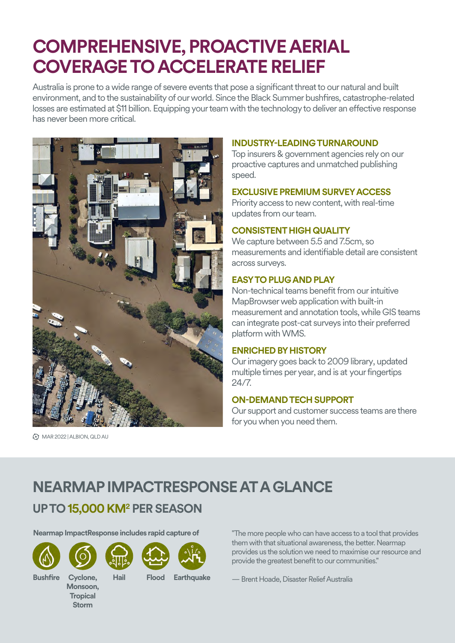## **COMPREHENSIVE, PROACTIVE AERIAL COVERAGE TO ACCELERATE RELIEF**

Australia is prone to a wide range of severe events that pose a significant threat to our natural and built environment, and to the sustainability of our world. Since the Black Summer bushfires, catastrophe-related losses are estimated at \$11 billion. Equipping your team with the technology to deliver an effective response has never been more critical.



MAR 2022 | ALBION, QLD AU

#### **INDUSTRY-LEADING TURNAROUND**

Top insurers & government agencies relyon our proactive captures and unmatched publishing speed.

#### **EXCLUSIVE PREMIUM SURVEY ACCESS**

Priority access to new content, with real-time updates from our team.

#### **CONSISTENT HIGH QUALITY**

We capture between 5.5 and 7.5cm, so measurements and identifiable detail are consistent across surveys.

#### **EASYTO PLUGAND PLAY**

Non-technical teams benefit from our intuitive MapBrowser web application with built-in measurement and annotation tools, while GIS teams can integrate post-cat surveys into their preferred platform with WMS.

#### **ENRICHED BY HISTORY**

Our imagerygoes back to 2009 library, updated multiple times per year, and is at your fingertips 24/7.

#### **ON-DEMAND TECHSUPPORT**

Our support and customer success teams are there for you when you need them.

## **NEARMAP IMPACTRESPONSE AT A GLANCE**

## **UP TO 15,000 KM2 PER SEASON**

**Nearmap ImpactResponse includes rapid capture of** "The more people who can have access to a tool that provides









**Hail Flood Earthquake**

them with that situational awareness, the better. Nearmap provides us the solution we need to maximise our resource and provide the greatest benefit to our communities."

— Brent Hoade, Disaster Relief Australia

**Bushfire Cyclone,** 

**Monsoon, Tropical Storm**